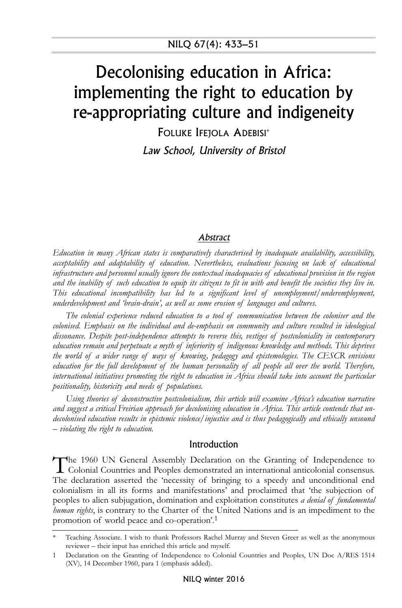# Decolonising education in Africa: implementing the right to education by re-appropriating culture and indigeneity

FOLUKE IFEJOLA ADEBISI\*

Law School, University of Bristol

#### Abstract

*Education in many African states is comparatively characterised by inadequate availability, accessibility, acceptability and adaptability of education. Nevertheless, evaluations focusing on lack of educational infrastructure and personnel usually ignore the contextual inadequacies of educational provision in the region* and the inability of such education to equip its citizens to fit in with and benefit the societies they live in. *This educational incompatibility has led to a significant level of unemployment/underemployment, underdevelopment and 'brain-drain', as well as some erosion of languages and cultures.*

*The colonial experience reduced education to a tool of communication between the coloniser and the colonised. Emphasis on the individual and de-emphasis on community and culture resulted in ideological dissonance. Despite post-independence attempts to reverse this, vestiges of postcoloniality in contemporary education remain and perpetuate a myth of inferiority of indigenous knowledge and methods. This deprives the world of a wider range of ways of knowing, pedagogy and epistemologies. The CESCR envisions education for the full development of the human personality of all people all over the world. Therefore, international initiatives promoting the right to education in Africa should take into account the particular positionality, historicity and needs of populations.*

*Using theories of deconstructive postcolonialism, this article will examine Africa's education narrative and suggest a critical Freirian approach for decolonising education in Africa. This article contends that undecolonised education results in epistemic violence/injustice and is thus pedagogically and ethically unsound – violating the right to education.*

#### Introduction

The 1960 UN General Assembly Declaration on the Granting of Independence to Colonial Countries and Peoples demonstrated an international anticolonial consensus. The declaration asserted the 'necessity of bringing to a speedy and unconditional end colonialism in all its forms and manifestations' and proclaimed that 'the subjection of peoples to alien subjugation, domination and exploitation constitutes *a denial of fundamental human rights*, is contrary to the Charter of the United Nations and is an impediment to the promotion of world peace and co-operation'. 1

<sup>\*</sup> Teaching Associate. I wish to thank Professors Rachel Murray and Steven Greer as well as the anonymous reviewer – their input has enriched this article and myself.

Declaration on the Granting of Independence to Colonial Countries and Peoples, UN Doc A/RES 1514 (XV), 14 December 1960, para 1 (emphasis added).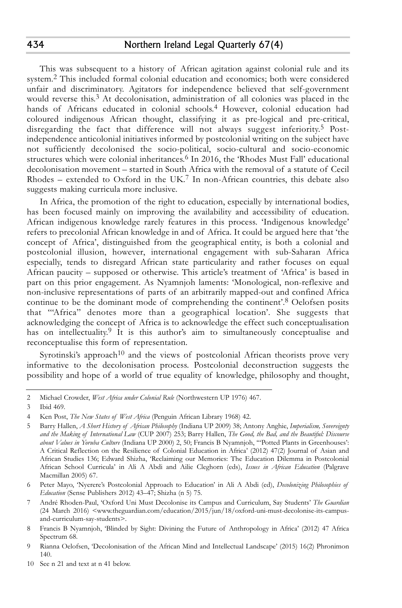This was subsequent to a history of African agitation against colonial rule and its system. 2 This included formal colonial education and economics; both were considered unfair and discriminatory. Agitators for independence believed that self-government would reverse this. 3 At decolonisation, administration of all colonies was placed in the hands of Africans educated in colonial schools. 4 However, colonial education had coloured indigenous African thought, classifying it as pre-logical and pre-critical, disregarding the fact that difference will not always suggest inferiority. 5 Postindependence anticolonial initiatives informed by postcolonial writing on the subject have not sufficiently decolonised the socio-political, socio-cultural and socio-economic structures which were colonial inheritances. 6 In 2016, the 'Rhodes Must Fall' educational decolonisation movement – started in South Africa with the removal of a statute of Cecil Rhodes – extended to Oxford in the UK. 7 In non-African countries, this debate also suggests making curricula more inclusive.

In Africa, the promotion of the right to education, especially by international bodies, has been focused mainly on improving the availability and accessibility of education. African indigenous knowledge rarely features in this process. 'Indigenous knowledge' refers to precolonial African knowledge in and of Africa. It could be argued here that 'the concept of Africa', distinguished from the geographical entity, is both a colonial and postcolonial illusion, however, international engagement with sub-Saharan Africa especially, tends to disregard African state particularity and rather focuses on equal African paucity – supposed or otherwise. This article's treatment of 'Africa' is based in part on this prior engagement. As Nyamnjoh laments: 'Monological, non-reflexive and non-inclusive representations of parts of an arbitrarily mapped-out and confined Africa continue to be the dominant mode of comprehending the continent'.<sup>8</sup> Oelofsen posits that '"Africa" denotes more than a geographical location'. She suggests that acknowledging the concept of Africa is to acknowledge the effect such conceptualisation has on intellectuality.<sup>9</sup> It is this author's aim to simultaneously conceptualise and reconceptualise this form of representation.

Syrotinski's approach<sup>10</sup> and the views of postcolonial African theorists prove very informative to the decolonisation process. Postcolonial deconstruction suggests the possibility and hope of a world of true equality of knowledge, philosophy and thought,

<sup>2</sup> Michael Crowder, *West Africa under Colonial Rule* (Northwestern UP 1976) 467.

<sup>3</sup> Ibid 469.

<sup>4</sup> Ken Post, *The New States of West Africa* (Penguin African Library 1968) 42.

<sup>5</sup> Barry Hallen, *A Short History of African Philosophy* (Indiana UP 2009) 38; Antony Anghie, *Imperialism, Sovereignty and the Making of International Law* (CUP 2007) 253; Barry Hallen, *The Good, the Bad, and the Beautiful: Discourse about Values in Yoruba Culture* (Indiana UP 2000) 2, 50; Francis B Nyamnjoh, '"Potted Plants in Greenhouses': A Critical Reflection on the Resilience of Colonial Education in Africa' (2012) 47(2) Journal of Asian and African Studies 136; Edward Shizha, 'Reclaiming our Memories: The Education Dilemma in Postcolonial African School Curricula' in Ali A Abdi and Ailie Cleghorn (eds), *Issues in African Education* (Palgrave Macmillan 2005) 67.

<sup>6</sup> Peter Mayo, 'Nyerere's Postcolonial Approach to Education' in Ali A Abdi (ed), *Decolonizing Philosophies of Education* (Sense Publishers 2012) 43–47; Shizha (n 5) 75.

<sup>7</sup> André Rhoden-Paul, 'Oxford Uni Must Decolonise its Campus and Curriculum, Say Students' *The Guardian* (24 March 2016) <www.theguardian.com/education/2015/jun/18/oxford-uni-must-decolonise-its-campusand-curriculum-say-students>.

<sup>8</sup> Francis B Nyamnjoh, 'Blinded by Sight: Divining the Future of Anthropology in Africa' (2012) 47 Africa Spectrum 68.

<sup>9</sup> Rianna Oelofsen, 'Decolonisation of the African Mind and Intellectual Landscape' (2015) 16(2) Phronimon 140.

<sup>10</sup> See n 21 and text at n 41 below.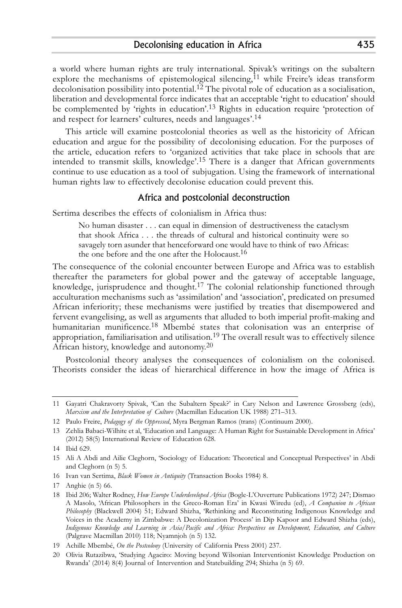a world where human rights are truly international. Spivak's writings on the subaltern explore the mechanisms of epistemological silencing, 11 while Freire's ideas transform decolonisation possibility into potential. 12 The pivotal role of education as a socialisation, liberation and developmental force indicates that an acceptable 'right to education' should be complemented by 'rights in education'.<sup>13</sup> Rights in education require 'protection of and respect for learners' cultures, needs and languages'. 14

This article will examine postcolonial theories as well as the historicity of African education and argue for the possibility of decolonising education. For the purposes of the article, education refers to 'organized activities that take place in schools that are intended to transmit skills, knowledge'. 15 There is a danger that African governments continue to use education as a tool of subjugation. Using the framework of international human rights law to effectively decolonise education could prevent this.

#### Africa and postcolonial deconstruction

Sertima describes the effects of colonialism in Africa thus:

No human disaster . . . can equal in dimension of destructiveness the cataclysm that shook Africa . . . the threads of cultural and historical continuity were so savagely torn asunder that henceforward one would have to think of two Africas: the one before and the one after the Holocaust. 16

The consequence of the colonial encounter between Europe and Africa was to establish thereafter the parameters for global power and the gateway of acceptable language, knowledge, jurisprudence and thought. 17 The colonial relationship functioned through acculturation mechanisms such as 'assimilation' and 'association', predicated on presumed African inferiority; these mechanisms were justified by treaties that disempowered and fervent evangelising, as well as arguments that alluded to both imperial profit-making and humanitarian munificence. 18 Mbembé states that colonisation was an enterprise of appropriation, familiarisation and utilisation. $^{19}$  The overall result was to effectively silence African history, knowledge and autonomy. $^{20}$ 

Postcolonial theory analyses the consequences of colonialism on the colonised. Theorists consider the ideas of hierarchical difference in how the image of Africa is

<sup>11</sup> Gayatri Chakravorty Spivak, 'Can the Subaltern Speak?' in Cary Nelson and Lawrence Grossberg (eds), *Marxism and the Interpretation of Culture* (Macmillan Education UK 1988) 271–313.

<sup>12</sup> Paulo Freire, *Pedagogy of the Oppressed*, Myra Bergman Ramos (trans) (Continuum 2000).

<sup>13</sup> Zehlia Babaci-Wilhite et al, 'Education and Language: A Human Right for Sustainable Development in Africa' (2012) 58(5) International Review of Education 628.

<sup>14</sup> Ibid 629.

<sup>15</sup> Ali A Abdi and Ailie Cleghorn, 'Sociology of Education: Theoretical and Conceptual Perspectives' in Abdi and Cleghorn (n 5) 5.

<sup>16</sup> Ivan van Sertima, *Black Women in Antiquity* (Transaction Books 1984) 8.

<sup>17</sup> Anghie (n 5) 66.

<sup>18</sup> Ibid 206; Walter Rodney, *How Europe Underdeveloped Africa* (Bogle-L'Ouverture Publications 1972) 247; Dismao A Masolo, 'African Philosophers in the Greco-Roman Era' in Kwasi Wiredu (ed), *A Companion to African Philosophy* (Blackwell 2004) 51; Edward Shizha, 'Rethinking and Reconstituting Indigenous Knowledge and Voices in the Academy in Zimbabwe: A Decolonization Process' in Dip Kapoor and Edward Shizha (eds), *Indigenous Knowledge and Learning in Asia/Pacific and Africa: Perspectives on Development, Education, and Culture* (Palgrave Macmillan 2010) 118; Nyamnjoh (n 5) 132.

<sup>19</sup> Achille Mbembé, *On the Postcolony* (University of California Press 2001) 237.

<sup>20</sup> Olivia Rutazibwa, 'Studying Agaciro: Moving beyond Wilsonian Interventionist Knowledge Production on Rwanda' (2014) 8(4) Journal of Intervention and Statebuilding 294; Shizha (n 5) 69.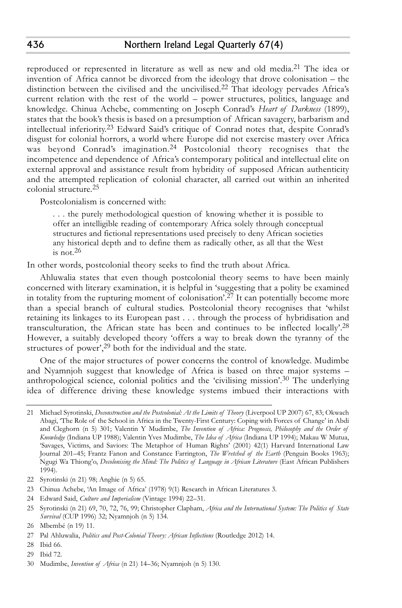reproduced or represented in literature as well as new and old media. 21 The idea or invention of Africa cannot be divorced from the ideology that drove colonisation – the distinction between the civilised and the uncivilised. 22 That ideology pervades Africa's current relation with the rest of the world – power structures, politics, language and knowledge. Chinua Achebe, commenting on Joseph Conrad's *Heart of Darkness* (1899), states that the book's thesis is based on a presumption of African savagery, barbarism and intellectual inferiority. 23 Edward Said's critique of Conrad notes that, despite Conrad's disgust for colonial horrors, a world where Europe did not exercise mastery over Africa was beyond Conrad's imagination. 24 Postcolonial theory recognises that the incompetence and dependence of Africa's contemporary political and intellectual elite on external approval and assistance result from hybridity of supposed African authenticity and the attempted replication of colonial character, all carried out within an inherited colonial structure. 25

Postcolonialism is concerned with:

. . . the purely methodological question of knowing whether it is possible to offer an intelligible reading of contemporary Africa solely through conceptual structures and fictional representations used precisely to deny African societies any historical depth and to define them as radically other, as all that the West is not. 26

In other words, postcolonial theory seeks to find the truth about Africa.

Ahluwalia states that even though postcolonial theory seems to have been mainly concerned with literary examination, it is helpful in 'suggesting that a polity be examined in totality from the rupturing moment of colonisation'. 27 It can potentially become more than a special branch of cultural studies. Postcolonial theory recognises that 'whilst retaining its linkages to its European past . . . through the process of hybridisation and transculturation, the African state has been and continues to be inflected locally'. 28 However, a suitably developed theory 'offers a way to break down the tyranny of the structures of power',<sup>29</sup> both for the individual and the state.

One of the major structures of power concerns the control of knowledge. Mudimbe and Nyamnjoh suggest that knowledge of Africa is based on three major systems – anthropological science, colonial politics and the 'civilising mission'. 30 The underlying idea of difference driving these knowledge systems imbued their interactions with

<sup>21</sup> Michael Syrotinski, *Deconstruction and the Postcolonial: At the Limits of Theory* (Liverpool UP 2007) 67, 83; Okwach Abagi, 'The Role of the School in Africa in the Twenty-First Century: Coping with Forces of Change' in Abdi and Cleghorn (n 5) 301; Valentin Y Mudimbe, *The Invention of Africa: Prognosis, Philosophy and the Order of Knowledge* (Indiana UP 1988); Valentin Yves Mudimbe, *The Idea of Africa* (Indiana UP 1994); Makau W Mutua, 'Savages, Victims, and Saviors: The Metaphor of Human Rights' (2001) 42(1) Harvard International Law Journal 201–45; Frantz Fanon and Constance Farrington, *The Wretched of the Earth* (Penguin Books 1963); Ngugi Wa Thiong'o, *Decolonising the Mind: The Politics of Language in African Literature* (East African Publishers 1994).

<sup>22</sup> Syrotinski (n 21) 98; Anghie (n 5) 65.

<sup>23</sup> Chinua Achebe, 'An Image of Africa' (1978) 9(1) Research in African Literatures 3.

<sup>24</sup> Edward Said, *Culture and Imperialism* (Vintage 1994) 22–31.

<sup>25</sup> Syrotinski (n 21) 69, 70, 72, 76, 99; Christopher Clapham, *Africa and the International System: The Politics of State Survival* (CUP 1996) 32; Nyamnjoh (n 5) 134.

<sup>26</sup> Mbembé (n 19) 11.

<sup>27</sup> Pal Ahluwalia, *Politics and Post-Colonial Theory: African Inflections* (Routledge 2012) 14.

<sup>28</sup> Ibid 66.

<sup>29</sup> Ibid 72.

<sup>30</sup> Mudimbe, *Invention of Africa* (n 21) 14–36; Nyamnjoh (n 5) 130.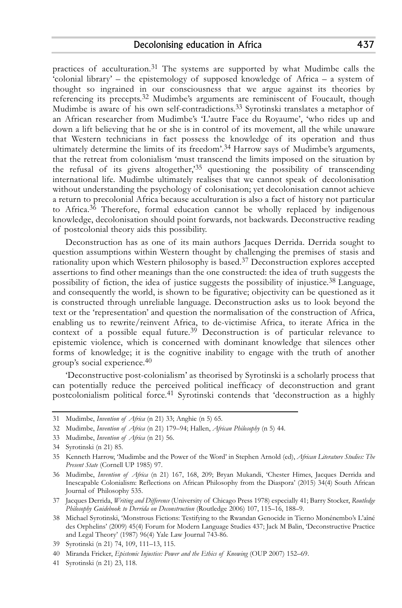practices of acculturation. 31 The systems are supported by what Mudimbe calls the 'colonial library' – the epistemology of supposed knowledge of Africa – a system of thought so ingrained in our consciousness that we argue against its theories by referencing its precepts. 32 Mudimbe's arguments are reminiscent of Foucault, though Mudimbe is aware of his own self-contradictions. 33 Syrotinski translates a metaphor of an African researcher from Mudimbe's 'L'autre Face du Royaume', 'who rides up and down a lift believing that he or she is in control of its movement, all the while unaware that Western technicians in fact possess the knowledge of its operation and thus ultimately determine the limits of its freedom'. 34 Harrow says of Mudimbe's arguments, that the retreat from colonialism 'must transcend the limits imposed on the situation by the refusal of its givens altogether,<sup>35</sup> questioning the possibility of transcending international life. Mudimbe ultimately realises that we cannot speak of decolonisation without understanding the psychology of colonisation; yet decolonisation cannot achieve a return to precolonial Africa because acculturation is also a fact of history not particular to Africa. 36 Therefore, formal education cannot be wholly replaced by indigenous knowledge, decolonisation should point forwards, not backwards. Deconstructive reading of postcolonial theory aids this possibility.

Deconstruction has as one of its main authors Jacques Derrida. Derrida sought to question assumptions within Western thought by challenging the premises of stasis and rationality upon which Western philosophy is based. 37 Deconstruction explores accepted assertions to find other meanings than the one constructed: the idea of truth suggests the possibility of fiction, the idea of justice suggests the possibility of injustice. 38 Language, and consequently the world, is shown to be figurative; objectivity can be questioned as it is constructed through unreliable language. Deconstruction asks us to look beyond the text or the 'representation' and question the normalisation of the construction of Africa, enabling us to rewrite/reinvent Africa, to de-victimise Africa, to iterate Africa in the context of a possible equal future. 39 Deconstruction is of particular relevance to epistemic violence, which is concerned with dominant knowledge that silences other forms of knowledge; it is the cognitive inability to engage with the truth of another group's social experience. 40

'Deconstructive post-colonialism' as theorised by Syrotinski is a scholarly process that can potentially reduce the perceived political inefficacy of deconstruction and grant postcolonialism political force. 41 Syrotinski contends that 'deconstruction as a highly

31 Mudimbe, *Invention of Africa* (n 21) 33; Anghie (n 5) 65.

<sup>32</sup> Mudimbe, *Invention of Africa* (n 21) 179–94; Hallen, *African Philosophy* (n 5) 44.

<sup>33</sup> Mudimbe, *Invention of Africa* (n 21) 56.

<sup>34</sup> Syrotinski (n 21) 85.

<sup>35</sup> Kenneth Harrow, 'Mudimbe and the Power of the Word' in Stephen Arnold (ed), *African Literature Studies: The Present State* (Cornell UP 1985) 97.

<sup>36</sup> Mudimbe, *Invention of Africa* (n 21) 167, 168, 209; Bryan Mukandi, 'Chester Himes, Jacques Derrida and Inescapable Colonialism: Reflections on African Philosophy from the Diaspora' (2015) 34(4) South African Journal of Philosophy 535.

<sup>37</sup> Jacques Derrida, *Writing and Difference* (University of Chicago Press 1978) especially 41; Barry Stocker, *Routledge Philosophy Guidebook to Derrida on Deconstruction* (Routledge 2006) 107, 115–16, 188–9.

<sup>38</sup> Michael Syrotinski, 'Monstrous Fictions: Testifying to the Rwandan Genocide in Tierno Monénembo's L'aîné des Orphelins' (2009) 45(4) Forum for Modern Language Studies 437; Jack M Balin, 'Deconstructive Practice and Legal Theory' (1987) 96(4) Yale Law Journal 743-86.

<sup>39</sup> Syrotinski (n 21) 74, 109, 111–13, 115.

<sup>40</sup> Miranda Fricker, *Epistemic Injustice: Power and the Ethics of Knowing* (OUP 2007) 152–69.

<sup>41</sup> Syrotinski (n 21) 23, 118.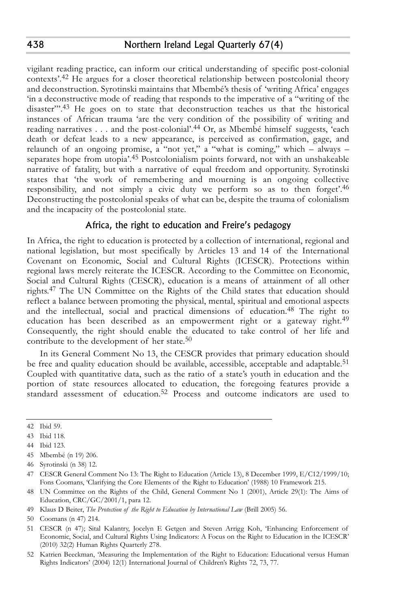vigilant reading practice, can inform our critical understanding of specific post-colonial contexts'. 42 He argues for a closer theoretical relationship between postcolonial theory and deconstruction. Syrotinski maintains that Mbembé's thesis of 'writing Africa' engages 'in a deconstructive mode of reading that responds to the imperative of a "writing of the disaster".<sup>43</sup> He goes on to state that deconstruction teaches us that the historical instances of African trauma 'are the very condition of the possibility of writing and reading narratives . . . and the post-colonial'. 44 Or, as Mbembé himself suggests, 'each death or defeat leads to a new appearance, is perceived as confirmation, gage, and relaunch of an ongoing promise,  $a^{\text{``not}}$  yet,"  $a^{\text{``what}}$  is coming," which – always – separates hope from utopia'. 45 Postcolonialism points forward, not with an unshakeable narrative of fatality, but with a narrative of equal freedom and opportunity. Syrotinski states that 'the work of remembering and mourning is an ongoing collective responsibility, and not simply a civic duty we perform so as to then forget'. 46 Deconstructing the postcolonial speaks of what can be, despite the trauma of colonialism and the incapacity of the postcolonial state.

## Africa, the right to education and Freire's pedagogy

In Africa, the right to education is protected by a collection of international, regional and national legislation, but most specifically by Articles 13 and 14 of the International Covenant on Economic, Social and Cultural Rights (ICESCR). Protections within regional laws merely reiterate the ICESCR. According to the Committee on Economic, Social and Cultural Rights (CESCR), education is a means of attainment of all other rights. 47 The UN Committee on the Rights of the Child states that education should reflect a balance between promoting the physical, mental, spiritual and emotional aspects and the intellectual, social and practical dimensions of education. 48 The right to education has been described as an empowerment right or a gateway right.<sup>49</sup> Consequently, the right should enable the educated to take control of her life and contribute to the development of her state. 50

In its General Comment No 13, the CESCR provides that primary education should be free and quality education should be available, accessible, acceptable and adaptable. 51 Coupled with quantitative data, such as the ratio of a state's youth in education and the portion of state resources allocated to education, the foregoing features provide a standard assessment of education. 52 Process and outcome indicators are used to

<sup>42</sup> Ibid 59.

<sup>43</sup> Ibid 118.

<sup>44</sup> Ibid 123.

<sup>45</sup> Mbembé (n 19) 206.

<sup>46</sup> Syrotinski (n 38) 12.

<sup>47</sup> CESCR General Comment No 13: The Right to Education (Article 13), 8 December 1999, E/C12/1999/10; Fons Coomans, 'Clarifying the Core Elements of the Right to Education' (1988) 10 Framework 215.

<sup>48</sup> UN Committee on the Rights of the Child, General Comment No 1 (2001), Article 29(1): The Aims of Education, CRC/GC/2001/1, para 12.

<sup>49</sup> Klaus D Beiter, *The Protection of the Right to Education by International Law* (Brill 2005) 56.

<sup>50</sup> Coomans (n 47) 214.

<sup>51</sup> CESCR (n 47); Sital Kalantry, Jocelyn E Getgen and Steven Arrigg Koh, 'Enhancing Enforcement of Economic, Social, and Cultural Rights Using Indicators: A Focus on the Right to Education in the ICESCR' (2010) 32(2) Human Rights Quarterly 278.

<sup>52</sup> Katrien Beeckman, 'Measuring the Implementation of the Right to Education: Educational versus Human Rights Indicators' (2004) 12(1) International Journal of Children's Rights 72, 73, 77.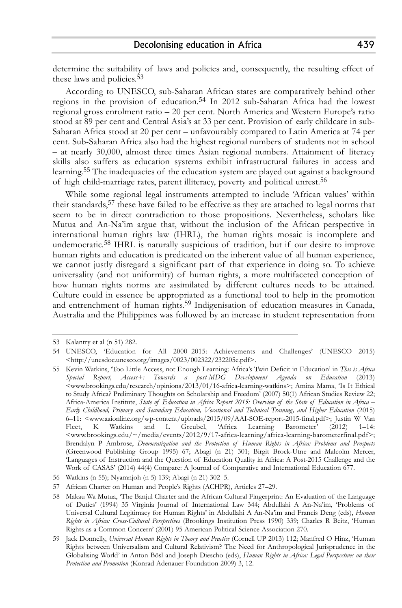determine the suitability of laws and policies and, consequently, the resulting effect of these laws and policies. 53

According to UNESCO, sub-Saharan African states are comparatively behind other regions in the provision of education. 54 In 2012 sub-Saharan Africa had the lowest regional gross enrolment ratio – 20 per cent. North America and Western Europe's ratio stood at 89 per cent and Central Asia's at 33 per cent. Provision of early childcare in sub-Saharan Africa stood at 20 per cent – unfavourably compared to Latin America at 74 per cent. Sub-Saharan Africa also had the highest regional numbers of students not in school – at nearly 30,000, almost three times Asian regional numbers. Attainment of literacy skills also suffers as education systems exhibit infrastructural failures in access and learning. 55 The inadequacies of the education system are played out against a background of high child-marriage rates, parent illiteracy, poverty and political unrest. 56

While some regional legal instruments attempted to include 'African values' within their standards,<sup>57</sup> these have failed to be effective as they are attached to legal norms that seem to be in direct contradiction to those propositions. Nevertheless, scholars like Mutua and An-Na'im argue that, without the inclusion of the African perspective in international human rights law (IHRL), the human rights mosaic is incomplete and undemocratic. 58 IHRL is naturally suspicious of tradition, but if our desire to improve human rights and education is predicated on the inherent value of all human experience, we cannot justly disregard a significant part of that experience in doing so. To achieve universality (and not uniformity) of human rights, a more multifaceted conception of how human rights norms are assimilated by different cultures needs to be attained. Culture could in essence be appropriated as a functional tool to help in the promotion and entrenchment of human rights. 59 Indigenisation of education measures in Canada, Australia and the Philippines was followed by an increase in student representation from

<sup>53</sup> Kalantry et al (n 51) 282.

<sup>54</sup> UNESCO, 'Education for All 2000–2015: Achievements and Challenges' (UNESCO 2015) <http://unesdoc.unesco.org/images/0023/002322/232205e.pdf>.

<sup>55</sup> Kevin Watkins, 'Too Little Access, not Enough Learning: Africa's Twin Deficit in Education' in *This is Africa Special Report, Access+: Towards a post-MDG Development Agenda on Education* (2013) <www.brookings.edu/research/opinions/2013/01/16-africa-learning-watkins>; Amina Mama, 'Is It Ethical to Study Africa? Preliminary Thoughts on Scholarship and Freedom' (2007) 50(1) African Studies Review 22; Africa-America Institute, State of Education in Africa Report 2015: Overview of the State of Education in Africa -*Early Childhood, Primary and Secondary Education, Vocational and Technical Training, and Higher Education* (2015) 6–11: <www.aaionline.org/wp-content/uploads/2015/09/AAI-SOE-report-2015-final.pdf>; Justin W Van Fleet, K Watkins and L Greubel, 'Africa Learning Barometer' (2012) 1–14: <www.brookings.edu/~/media/events/2012/9/17-africa-learning/africa-learning-barometerfinal.pdf>; Brendalyn P Ambrose, *Democratization and the Protection of Human Rights in Africa: Problems and Prospects* (Greenwood Publishing Group 1995) 67; Abagi (n 21) 301; Birgit Brock-Utne and Malcolm Mercer, 'Languages of Instruction and the Question of Education Quality in Africa: A Post-2015 Challenge and the Work of CASAS' (2014) 44(4) Compare: A Journal of Comparative and International Education 677.

<sup>56</sup> Watkins (n 55); Nyamnjoh (n 5) 139; Abagi (n 21) 302–5.

<sup>57</sup> African Charter on Human and People's Rights (ACHPR), Articles 27–29.

<sup>58</sup> Makau Wa Mutua, 'The Banjul Charter and the African Cultural Fingerprint: An Evaluation of the Language of Duties' (1994) 35 Virginia Journal of International Law 344; Abdullahi A An-Na'im, 'Problems of Universal Cultural Legitimacy for Human Rights' in Abdullahi A An-Na'im and Francis Deng (eds), *Human Rights in Africa: Cross-Cultural Perspectives* (Brookings Institution Press 1990) 339; Charles R Beitz, 'Human Rights as a Common Concern' (2001) 95 American Political Science Association 270.

<sup>59</sup> Jack Donnelly, *Universal Human Rights in Theory and Practice* (Cornell UP 2013) 112; Manfred O Hinz, 'Human Rights between Universalism and Cultural Relativism? The Need for Anthropological Jurisprudence in the Globalising World' in Anton Bösl and Joseph Diescho (eds), *Human Rights in Africa: Legal Perspectives on their Protection and Promotion* (Konrad Adenauer Foundation 2009) 3, 12.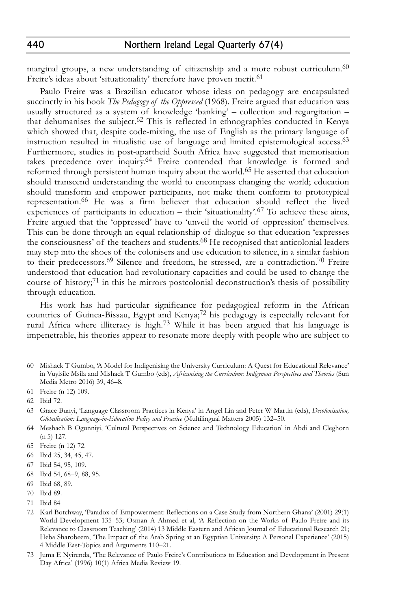marginal groups, a new understanding of citizenship and a more robust curriculum. 60 Freire's ideas about 'situationality' therefore have proven merit.<sup>61</sup>

Paulo Freire was a Brazilian educator whose ideas on pedagogy are encapsulated succinctly in his book *The Pedagogy of the Oppressed* (1968). Freire argued that education was usually structured as a system of knowledge 'banking' – collection and regurgitation – that dehumanises the subject. 62 This is reflected in ethnographies conducted in Kenya which showed that, despite code-mixing, the use of English as the primary language of instruction resulted in ritualistic use of language and limited epistemological access. 63 Furthermore, studies in post-apartheid South Africa have suggested that memorisation takes precedence over inquiry. 64 Freire contended that knowledge is formed and reformed through persistent human inquiry about the world. 65 He asserted that education should transcend understanding the world to encompass changing the world; education should transform and empower participants, not make them conform to prototypical representation. 66 He was a firm believer that education should reflect the lived experiences of participants in education – their 'situationality'.<sup>67</sup> To achieve these aims, Freire argued that the 'oppressed' have to 'unveil the world of oppression' themselves. This can be done through an equal relationship of dialogue so that education 'expresses the consciousness' of the teachers and students. 68 He recognised that anticolonial leaders may step into the shoes of the colonisers and use education to silence, in a similar fashion to their predecessors. 69 Silence and freedom, he stressed, are a contradiction. 70 Freire understood that education had revolutionary capacities and could be used to change the course of history;<sup>71</sup> in this he mirrors postcolonial deconstruction's thesis of possibility through education.

His work has had particular significance for pedagogical reform in the African countries of Guinea-Bissau, Egypt and Kenya; 72 his pedagogy is especially relevant for rural Africa where illiteracy is high. 73 While it has been argued that his language is impenetrable, his theories appear to resonate more deeply with people who are subject to

<sup>60</sup> Mishack T Gumbo, 'A Model for Indigenising the University Curriculum: A Quest for Educational Relevance' in Vuyisile Msila and Mishack T Gumbo (eds), *Africanising the Curriculum: Indigenous Perspectives and Theories* (Sun Media Metro 2016) 39, 46–8.

<sup>61</sup> Freire (n 12) 109.

<sup>62</sup> Ibid 72.

<sup>63</sup> Grace Bunyi, 'Language Classroom Practices in Kenya' in Angel Lin and Peter W Martin (eds), *Decolonisation, Globalisation: Language-in-Education Policy and Practice* (Multilingual Matters 2005) 132–50.

<sup>64</sup> Meshach B Ogunniyi, 'Cultural Perspectives on Science and Technology Education' in Abdi and Cleghorn (n 5) 127.

<sup>65</sup> Freire (n 12) 72.

<sup>66</sup> Ibid 25, 34, 45, 47.

<sup>67</sup> Ibid 54, 95, 109.

<sup>68</sup> Ibid 54, 68–9, 88, 95.

<sup>69</sup> Ibid 68, 89.

<sup>70</sup> Ibid 89.

<sup>71</sup> Ibid 84

<sup>72</sup> Karl Botchway, 'Paradox of Empowerment: Reflections on a Case Study from Northern Ghana' (2001) 29(1) World Development 135–53; Osman A Ahmed et al, 'A Reflection on the Works of Paulo Freire and its Relevance to Classroom Teaching' (2014) 13 Middle Eastern and African Journal of Educational Research 21; Heba Sharobeem, 'The Impact of the Arab Spring at an Egyptian University: A Personal Experience' (2015) 4 Middle East-Topics and Arguments 110–21.

<sup>73</sup> Juma E Nyirenda, 'The Relevance of Paulo Freire's Contributions to Education and Development in Present Day Africa' (1996) 10(1) Africa Media Review 19.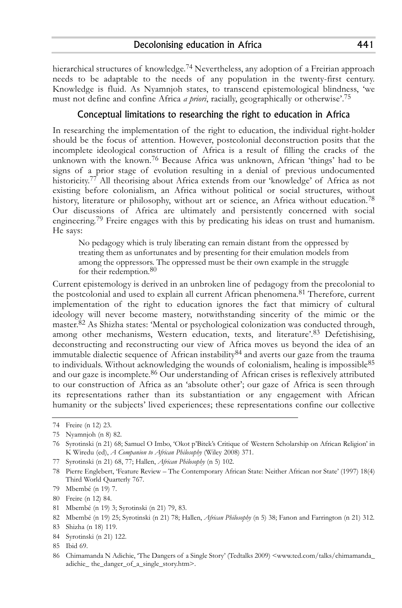hierarchical structures of knowledge. 74 Nevertheless, any adoption of a Freirian approach needs to be adaptable to the needs of any population in the twenty-first century. Knowledge is fluid. As Nyamnjoh states, to transcend epistemological blindness, 'we must not define and confine Africa *a priori*, racially, geographically or otherwise'. 75

# Conceptual limitations to researching the right to education in Africa

In researching the implementation of the right to education, the individual right-holder should be the focus of attention. However, postcolonial deconstruction posits that the incomplete ideological construction of Africa is a result of filling the cracks of the unknown with the known. 76 Because Africa was unknown, African 'things' had to be signs of a prior stage of evolution resulting in a denial of previous undocumented historicity. 77 All theorising about Africa extends from our 'knowledge' of Africa as not existing before colonialism, an Africa without political or social structures, without history, literature or philosophy, without art or science, an Africa without education. 78 Our discussions of Africa are ultimately and persistently concerned with social engineering. 79 Freire engages with this by predicating his ideas on trust and humanism. He says:

No pedagogy which is truly liberating can remain distant from the oppressed by treating them as unfortunates and by presenting for their emulation models from among the oppressors. The oppressed must be their own example in the struggle for their redemption. 80

Current epistemology is derived in an unbroken line of pedagogy from the precolonial to the postcolonial and used to explain all current African phenomena.<sup>81</sup> Therefore, current implementation of the right to education ignores the fact that mimicry of cultural ideology will never become mastery, notwithstanding sincerity of the mimic or the master. 82 As Shizha states: 'Mental or psychological colonization was conducted through, among other mechanisms, Western education, texts, and literature'.<sup>83</sup> Defetishising, deconstructing and reconstructing our view of Africa moves us beyond the idea of an immutable dialectic sequence of African instability  $84$  and averts our gaze from the trauma to individuals. Without acknowledging the wounds of colonialism, healing is impossible<sup>85</sup> and our gaze is incomplete. 86 Our understanding of African crises is reflexively attributed to our construction of Africa as an 'absolute other'; our gaze of Africa is seen through its representations rather than its substantiation or any engagement with African humanity or the subjects' lived experiences; these representations confine our collective

77 Syrotinski (n 21) 68, 77; Hallen, *African Philosophy* (n 5) 102.

<sup>74</sup> Freire (n 12) 23.

<sup>75</sup> Nyamnjoh (n 8) 82.

<sup>76</sup> Syrotinski (n 21) 68; Samuel O Imbo, 'Okot p'Bitek's Critique of Western Scholarship on African Religion' in K Wiredu (ed), *A Companion to African Philosophy* (Wiley 2008) 371.

<sup>78</sup> Pierre Englebert, 'Feature Review – The Contemporary African State: Neither African nor State' (1997) 18(4) Third World Quarterly 767.

<sup>79</sup> Mbembé (n 19) 7.

<sup>80</sup> Freire (n 12) 84.

<sup>81</sup> Mbembé (n 19) 3; Syrotinski (n 21) 79, 83.

<sup>82</sup> Mbembé (n 19) 25; Syrotinski (n 21) 78; Hallen, *African Philosophy* (n 5) 38; Fanon and Farrington (n 21) 312.

<sup>83</sup> Shizha (n 18) 119.

<sup>84</sup> Syrotinski (n 21) 122.

<sup>85</sup> Ibid 69.

<sup>86</sup> Chimamanda N Adichie, 'The Dangers of a Single Story' (Tedtalks 2009) <www.ted.com/talks/chimamanda\_ adichie\_ the\_danger\_of\_a\_single\_story.htm>.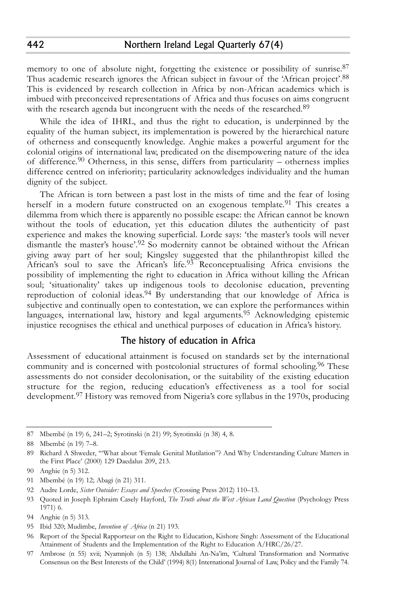memory to one of absolute night, forgetting the existence or possibility of sunrise.<sup>87</sup> Thus academic research ignores the African subject in favour of the 'African project'.<sup>88</sup> This is evidenced by research collection in Africa by non-African academics which is imbued with preconceived representations of Africa and thus focuses on aims congruent with the research agenda but incongruent with the needs of the researched.<sup>89</sup>

While the idea of IHRL, and thus the right to education, is underpinned by the equality of the human subject, its implementation is powered by the hierarchical nature of otherness and consequently knowledge. Anghie makes a powerful argument for the colonial origins of international law, predicated on the disempowering nature of the idea of difference. 90 Otherness, in this sense, differs from particularity – otherness implies difference centred on inferiority; particularity acknowledges individuality and the human dignity of the subject.

The African is torn between a past lost in the mists of time and the fear of losing herself in a modern future constructed on an exogenous template.<sup>91</sup> This creates a dilemma from which there is apparently no possible escape: the African cannot be known without the tools of education, yet this education dilutes the authenticity of past experience and makes the knowing superficial. Lorde says: 'the master's tools will never dismantle the master's house'.<sup>92</sup> So modernity cannot be obtained without the African giving away part of her soul; Kingsley suggested that the philanthropist killed the African's soul to save the African's life.<sup>93</sup> Reconceptualising Africa envisions the possibility of implementing the right to education in Africa without killing the African soul; 'situationality' takes up indigenous tools to decolonise education, preventing reproduction of colonial ideas.<sup>94</sup> By understanding that our knowledge of Africa is subjective and continually open to contestation, we can explore the performances within languages, international law, history and legal arguments. 95 Acknowledging epistemic injustice recognises the ethical and unethical purposes of education in Africa's history.

## The history of education in Africa

Assessment of educational attainment is focused on standards set by the international community and is concerned with postcolonial structures of formal schooling. 96 These assessments do not consider decolonisation, or the suitability of the existing education structure for the region, reducing education's effectiveness as a tool for social development. 97 History was removed from Nigeria's core syllabus in the 1970s, producing

95 Ibid 320; Mudimbe, *Invention of Africa* (n 21) 193.

<sup>87</sup> Mbembé (n 19) 6, 241–2; Syrotinski (n 21) 99; Syrotinski (n 38) 4, 8.

<sup>88</sup> Mbembé (n 19) 7–8.

<sup>89</sup> Richard A Shweder, '"What about 'Female Genital Mutilation"? And Why Understanding Culture Matters in the First Place' (2000) 129 Daedalus 209, 213.

<sup>90</sup> Anghie (n 5) 312.

<sup>91</sup> Mbembé (n 19) 12; Abagi (n 21) 311.

<sup>92</sup> Audre Lorde, *Sister Outsider: Essays and Speeches* (Crossing Press 2012) 110–13.

<sup>93</sup> Quoted in Joseph Ephraim Casely Hayford, *The Truth about the West African Land Question* (Psychology Press 1971) 6.

<sup>94</sup> Anghie (n 5) 313.

<sup>96</sup> Report of the Special Rapporteur on the Right to Education, Kishore Singh: Assessment of the Educational Attainment of Students and the Implementation of the Right to Education A/HRC/26/27.

<sup>97</sup> Ambrose (n 55) xvii; Nyamnjoh (n 5) 138; Abdullahi An-Na'im, 'Cultural Transformation and Normative Consensus on the Best Interests of the Child' (1994) 8(1) International Journal of Law, Policy and the Family 74.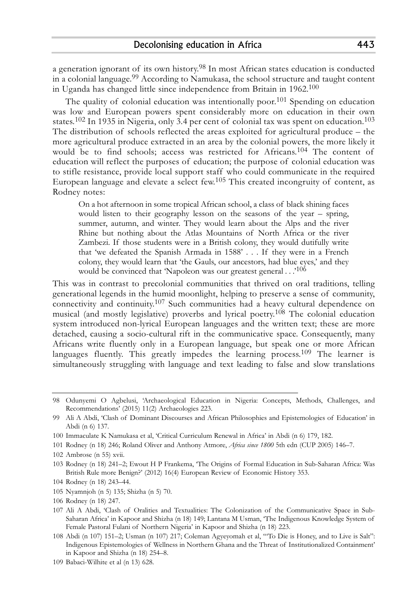a generation ignorant of its own history.<sup>98</sup> In most African states education is conducted in a colonial language. 99 According to Namukasa, the school structure and taught content in Uganda has changed little since independence from Britain in 1962. $^{100}$ 

The quality of colonial education was intentionally poor.<sup>101</sup> Spending on education was low and European powers spent considerably more on education in their own states. 102 In 1935 in Nigeria, only 3.4 per cent of colonial tax was spent on education. 103 The distribution of schools reflected the areas exploited for agricultural produce – the more agricultural produce extracted in an area by the colonial powers, the more likely it would be to find schools; access was restricted for Africans. 104 The content of education will reflect the purposes of education; the purpose of colonial education was to stifle resistance, provide local support staff who could communicate in the required European language and elevate a select few. 105 This created incongruity of content, as Rodney notes:

On a hot afternoon in some tropical African school, a class of black shining faces would listen to their geography lesson on the seasons of the year – spring, summer, autumn, and winter. They would learn about the Alps and the river Rhine but nothing about the Atlas Mountains of North Africa or the river Zambezi. If those students were in a British colony, they would dutifully write that 'we defeated the Spanish Armada in 1588' . . . If they were in a French colony, they would learn that 'the Gauls, our ancestors, had blue eyes,' and they would be convinced that 'Napoleon was our greatest general . . .<sup>106</sup>

This was in contrast to precolonial communities that thrived on oral traditions, telling generational legends in the humid moonlight, helping to preserve a sense of community, connectivity and continuity. 107 Such communities had a heavy cultural dependence on musical (and mostly legislative) proverbs and lyrical poetry. 108 The colonial education system introduced non-lyrical European languages and the written text; these are more detached, causing a socio-cultural rift in the communicative space. Consequently, many Africans write fluently only in a European language, but speak one or more African languages fluently. This greatly impedes the learning process.<sup>109</sup> The learner is simultaneously struggling with language and text leading to false and slow translations

105 Nyamnjoh (n 5) 135; Shizha (n 5) 70.

<sup>98</sup> Odunyemi O Agbelusi, 'Archaeological Education in Nigeria: Concepts, Methods, Challenges, and Recommendations' (2015) 11(2) Archaeologies 223.

<sup>99</sup> Ali A Abdi, 'Clash of Dominant Discourses and African Philosophies and Epistemologies of Education' in Abdi (n 6) 137.

<sup>100</sup> Immaculate K Namukasa et al, 'Critical Curriculum Renewal in Africa' in Abdi (n 6) 179, 182.

<sup>101</sup> Rodney (n 18) 246; Roland Oliver and Anthony Atmore, *Africa since 1800* 5th edn (CUP 2005) 146–7.

<sup>102</sup> Ambrose (n 55) xvii.

<sup>103</sup> Rodney (n 18) 241–2; Ewout H P Frankema, 'The Origins of Formal Education in Sub-Saharan Africa: Was British Rule more Benign?' (2012) 16(4) European Review of Economic History 353.

<sup>104</sup> Rodney (n 18) 243–44.

<sup>106</sup> Rodney (n 18) 247.

<sup>107</sup> Ali A Abdi, 'Clash of Oralities and Textualities: The Colonization of the Communicative Space in Sub-Saharan Africa' in Kapoor and Shizha (n 18) 149; Lantana M Usman, 'The Indigenous Knowledge System of Female Pastoral Fulani of Northern Nigeria' in Kapoor and Shizha (n 18) 223.

<sup>108</sup> Abdi (n 107) 151–2; Usman (n 107) 217; Coleman Agyeyomah et al, '"To Die is Honey, and to Live is Salt": Indigenous Epistemologies of Wellness in Northern Ghana and the Threat of Institutionalized Containment' in Kapoor and Shizha (n 18) 254–8.

<sup>109</sup> Babaci-Wilhite et al (n 13) 628.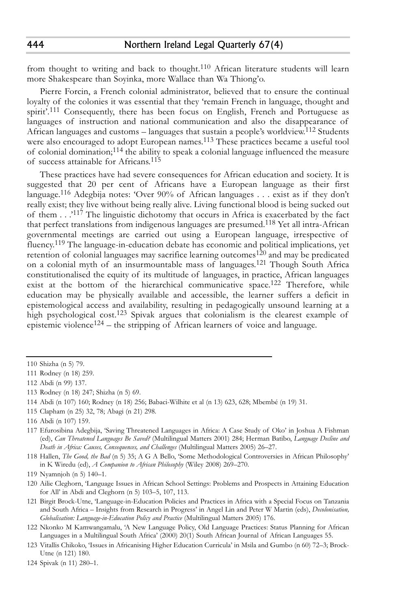from thought to writing and back to thought.<sup>110</sup> African literature students will learn more Shakespeare than Soyinka, more Wallace than Wa Thiong'o.

Pierre Forcin, a French colonial administrator, believed that to ensure the continual loyalty of the colonies it was essential that they 'remain French in language, thought and spirit'.<sup>111</sup> Consequently, there has been focus on English, French and Portuguese as languages of instruction and national communication and also the disappearance of African languages and customs – languages that sustain a people's worldview. 112 Students were also encouraged to adopt European names. 113 These practices became a useful tool of colonial domination; 114 the ability to speak a colonial language influenced the measure of success attainable for Africans. 115

These practices have had severe consequences for African education and society. It is suggested that 20 per cent of Africans have a European language as their first language. 116 Adegbija notes: 'Over 90% of African languages . . . exist as if they don't really exist; they live without being really alive. Living functional blood is being sucked out of them . . .'<sup>117</sup> The linguistic dichotomy that occurs in Africa is exacerbated by the fact that perfect translations from indigenous languages are presumed. 118 Yet all intra-African governmental meetings are carried out using a European language, irrespective of fluency.<sup>119</sup> The language-in-education debate has economic and political implications, yet retention of colonial languages may sacrifice learning outcomes<sup>120</sup> and may be predicated on a colonial myth of an insurmountable mass of languages. 121 Though South Africa constitutionalised the equity of its multitude of languages, in practice, African languages exist at the bottom of the hierarchical communicative space.<sup>122</sup> Therefore, while education may be physically available and accessible, the learner suffers a deficit in epistemological access and availability, resulting in pedagogically unsound learning at a high psychological cost. 123 Spivak argues that colonialism is the clearest example of epistemic violence<sup>124</sup> – the stripping of African learners of voice and language.

115 Clapham (n 25) 32, 78; Abagi (n 21) 298.

<sup>110</sup> Shizha (n 5) 79.

<sup>111</sup> Rodney (n 18) 259.

<sup>112</sup> Abdi (n 99) 137.

<sup>113</sup> Rodney (n 18) 247; Shizha (n 5) 69.

<sup>114</sup> Abdi (n 107) 160; Rodney (n 18) 256; Babaci-Wilhite et al (n 13) 623, 628; Mbembé (n 19) 31.

<sup>116</sup> Abdi (n 107) 159.

<sup>117</sup> Efurosibina Adegbija, 'Saving Threatened Languages in Africa: A Case Study of Oko' in Joshua A Fishman (ed), *Can Threatened Languages Be Saved?* (Multilingual Matters 2001) 284; Herman Batibo, *Language Decline and Death in Africa: Causes, Consequences, and Challenges* (Multilingual Matters 2005) 26–27.

<sup>118</sup> Hallen, *The Good, the Bad* (n 5) 35; A G A Bello, 'Some Methodological Controversies in African Philosophy' in K Wiredu (ed), *A Companion to African Philosophy* (Wiley 2008) 269–270.

<sup>119</sup> Nyamnjoh (n 5) 140–1.

<sup>120</sup> Ailie Cleghorn, 'Language Issues in African School Settings: Problems and Prospects in Attaining Education for All' in Abdi and Cleghorn (n 5) 103–5, 107, 113.

<sup>121</sup> Birgit Brock-Utne, 'Language-in-Education Policies and Practices in Africa with a Special Focus on Tanzania and South Africa – Insights from Research in Progress' in Angel Lin and Peter W Martin (eds), *Decolonisation, Globalisation: Language-in-Education Policy and Practice* (Multilingual Matters 2005) 176.

<sup>122</sup> Nkonko M Kamwangamalu, 'A New Language Policy, Old Language Practices: Status Planning for African Languages in a Multilingual South Africa' (2000) 20(1) South African Journal of African Languages 55.

<sup>123</sup> Vitallis Chikoko, 'Issues in Africanising Higher Education Curricula' in Msila and Gumbo (n 60) 72–3; Brock-Utne (n 121) 180.

<sup>124</sup> Spivak (n 11) 280–1.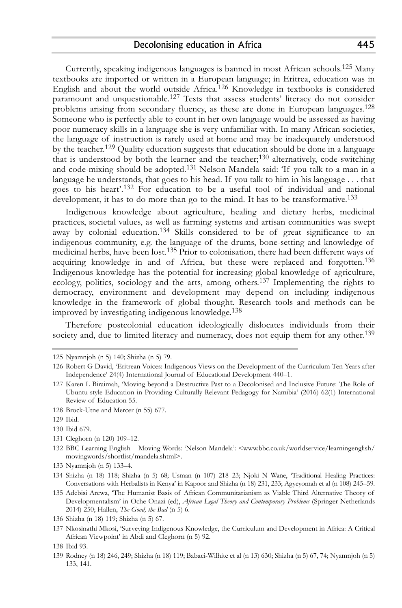Currently, speaking indigenous languages is banned in most African schools. 125 Many textbooks are imported or written in a European language; in Eritrea, education was in English and about the world outside Africa. 126 Knowledge in textbooks is considered paramount and unquestionable.<sup>127</sup> Tests that assess students' literacy do not consider problems arising from secondary fluency, as these are done in European languages.<sup>128</sup> Someone who is perfectly able to count in her own language would be assessed as having poor numeracy skills in a language she is very unfamiliar with. In many African societies, the language of instruction is rarely used at home and may be inadequately understood by the teacher. 129 Quality education suggests that education should be done in a language that is understood by both the learner and the teacher; 130 alternatively, code-switching and code-mixing should be adopted.<sup>131</sup> Nelson Mandela said: 'If you talk to a man in a language he understands, that goes to his head. If you talk to him in his language . . . that goes to his heart'. 132 For education to be a useful tool of individual and national development, it has to do more than go to the mind. It has to be transformative. 133

Indigenous knowledge about agriculture, healing and dietary herbs, medicinal practices, societal values, as well as farming systems and artisan communities was swept away by colonial education.<sup>134</sup> Skills considered to be of great significance to an indigenous community, e.g. the language of the drums, bone-setting and knowledge of medicinal herbs, have been lost. 135 Prior to colonisation, there had been different ways of acquiring knowledge in and of Africa, but these were replaced and forgotten.<sup>136</sup> Indigenous knowledge has the potential for increasing global knowledge of agriculture, ecology, politics, sociology and the arts, among others. 137 Implementing the rights to democracy, environment and development may depend on including indigenous knowledge in the framework of global thought. Research tools and methods can be improved by investigating indigenous knowledge. 138

Therefore postcolonial education ideologically dislocates individuals from their society and, due to limited literacy and numeracy, does not equip them for any other.<sup>139</sup>

128 Brock-Utne and Mercer (n 55) 677.

131 Cleghorn (n 120) 109–12.

133 Nyamnjoh (n 5) 133–4.

137 Nkosinathi Mkosi, 'Surveying Indigenous Knowledge, the Curriculum and Development in Africa: A Critical African Viewpoint' in Abdi and Cleghorn (n 5) 92.

<sup>125</sup> Nyamnjoh (n 5) 140; Shizha (n 5) 79.

<sup>126</sup> Robert G David, 'Eritrean Voices: Indigenous Views on the Development of the Curriculum Ten Years after Independence' 24(4) International Journal of Educational Development 440–1.

<sup>127</sup> Karen L Biraimah, 'Moving beyond a Destructive Past to a Decolonised and Inclusive Future: The Role of Ubuntu-style Education in Providing Culturally Relevant Pedagogy for Namibia' (2016) 62(1) International Review of Education 55.

<sup>129</sup> Ibid.

<sup>130</sup> Ibid 679.

<sup>132</sup> BBC Learning English – Moving Words: 'Nelson Mandela': <www.bbc.co.uk/worldservice/learningenglish/ movingwords/shortlist/mandela.shtml>.

<sup>134</sup> Shizha (n 18) 118; Shizha (n 5) 68; Usman (n 107) 218–23; Njoki N Wane, 'Traditional Healing Practices: Conversations with Herbalists in Kenya' in Kapoor and Shizha (n 18) 231, 233; Agyeyomah et al (n 108) 245–59.

<sup>135</sup> Adebisi Arewa, 'The Humanist Basis of African Communitarianism as Viable Third Alternative Theory of Developmentalism' in Oche Onazi (ed), *African Legal Theory and Contemporary Problems* (Springer Netherlands 2014) 250; Hallen, *The Good, the Bad* (n 5) 6.

<sup>136</sup> Shizha (n 18) 119; Shizha (n 5) 67.

<sup>138</sup> Ibid 93.

<sup>139</sup> Rodney (n 18) 246, 249; Shizha (n 18) 119; Babaci-Wilhite et al (n 13) 630; Shizha (n 5) 67, 74; Nyamnjoh (n 5) 133, 141.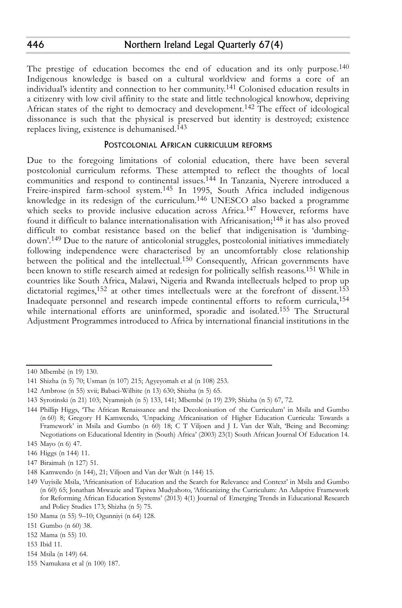The prestige of education becomes the end of education and its only purpose.<sup>140</sup> Indigenous knowledge is based on a cultural worldview and forms a core of an individual's identity and connection to her community. 141 Colonised education results in a citizenry with low civil affinity to the state and little technological knowhow, depriving African states of the right to democracy and development.<sup>142</sup> The effect of ideological dissonance is such that the physical is preserved but identity is destroyed; existence replaces living, existence is dehumanised. 143

#### POSTCOLONIAL AFRICAN CURRICULUM REFORMS

Due to the foregoing limitations of colonial education, there have been several postcolonial curriculum reforms. These attempted to reflect the thoughts of local communities and respond to continental issues. 144 In Tanzania, Nyerere introduced a Freire-inspired farm-school system.<sup>145</sup> In 1995, South Africa included indigenous knowledge in its redesign of the curriculum. 146 UNESCO also backed a programme which seeks to provide inclusive education across Africa.<sup>147</sup> However, reforms have found it difficult to balance internationalisation with Africanisation;<sup>148</sup> it has also proved difficult to combat resistance based on the belief that indigenisation is 'dumbingdown'. 149 Due to the nature of anticolonial struggles, postcolonial initiatives immediately following independence were characterised by an uncomfortably close relationship between the political and the intellectual.<sup>150</sup> Consequently, African governments have been known to stifle research aimed at redesign for politically selfish reasons. 151 While in countries like South Africa, Malawi, Nigeria and Rwanda intellectuals helped to prop up dictatorial regimes, 152 at other times intellectuals were at the forefront of dissent. 153 Inadequate personnel and research impede continental efforts to reform curricula, 154 while international efforts are uninformed, sporadic and isolated. 155 The Structural Adjustment Programmes introduced to Africa by international financial institutions in the

<sup>140</sup> Mbembé (n 19) 130.

<sup>141</sup> Shizha (n 5) 70; Usman (n 107) 215; Agyeyomah et al (n 108) 253.

<sup>142</sup> Ambrose (n 55) xvii; Babaci-Wilhite (n 13) 630; Shizha (n 5) 65.

<sup>143</sup> Syrotinski (n 21) 103; Nyamnjoh (n 5) 133, 141; Mbembé (n 19) 239; Shizha (n 5) 67, 72.

<sup>144</sup> Phillip Higgs, 'The African Renaissance and the Decolonisation of the Curriculum' in Msila and Gumbo (n 60) 8; Gregory H Kamwendo, 'Unpacking Africanisation of Higher Education Curricula: Towards a Framework' in Msila and Gumbo (n 60) 18; C T Viljoen and J L Van der Walt, 'Being and Becoming: Negotiations on Educational Identity in (South) Africa' (2003) 23(1) South African Journal Of Education 14.

<sup>145</sup> Mayo (n 6) 47.

<sup>146</sup> Higgs (n 144) 11.

<sup>147</sup> Biraimah (n 127) 51.

<sup>148</sup> Kamwendo (n 144), 21; Viljoen and Van der Walt (n 144) 15.

<sup>149</sup> Vuyisile Msila, 'Africanisation of Education and the Search for Relevance and Context' in Msila and Gumbo (n 60) 65; Jonathan Mswazie and Tapiwa Mudyahoto, 'Africanizing the Curriculum: An Adaptive Framework for Reforming African Education Systems' (2013) 4(1) Journal of Emerging Trends in Educational Research and Policy Studies 173; Shizha (n 5) 75.

<sup>150</sup> Mama (n 55) 9–10; Ogunniyi (n 64) 128.

<sup>151</sup> Gumbo (n 60) 38.

<sup>152</sup> Mama (n 55) 10.

<sup>153</sup> Ibid 11.

<sup>154</sup> Msila (n 149) 64.

<sup>155</sup> Namukasa et al (n 100) 187.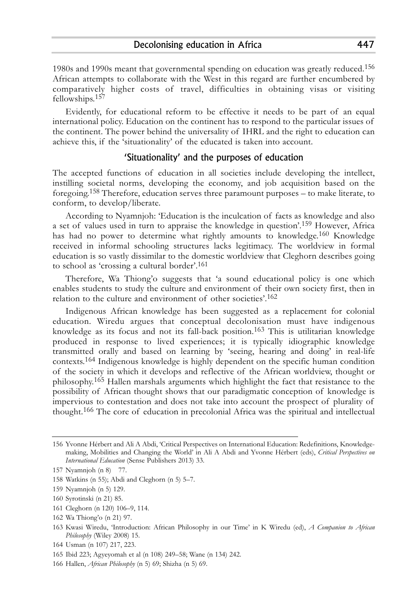1980s and 1990s meant that governmental spending on education was greatly reduced. 156 African attempts to collaborate with the West in this regard are further encumbered by comparatively higher costs of travel, difficulties in obtaining visas or visiting fellowships. 157

Evidently, for educational reform to be effective it needs to be part of an equal international policy. Education on the continent has to respond to the particular issues of the continent. The power behind the universality of IHRL and the right to education can achieve this, if the 'situationality' of the educated is taken into account.

#### 'Situationality' and the purposes of education

The accepted functions of education in all societies include developing the intellect, instilling societal norms, developing the economy, and job acquisition based on the foregoing. 158 Therefore, education serves three paramount purposes – to make literate, to conform, to develop/liberate.

According to Nyamnjoh: 'Education is the inculcation of facts as knowledge and also a set of values used in turn to appraise the knowledge in question'. 159 However, Africa has had no power to determine what rightly amounts to knowledge. 160 Knowledge received in informal schooling structures lacks legitimacy. The worldview in formal education is so vastly dissimilar to the domestic worldview that Cleghorn describes going to school as 'crossing a cultural border'. 161

Therefore, Wa Thiong'o suggests that 'a sound educational policy is one which enables students to study the culture and environment of their own society first, then in relation to the culture and environment of other societies'. 162

Indigenous African knowledge has been suggested as a replacement for colonial education. Wiredu argues that conceptual decolonisation must have indigenous knowledge as its focus and not its fall-back position. 163 This is utilitarian knowledge produced in response to lived experiences; it is typically idiographic knowledge transmitted orally and based on learning by 'seeing, hearing and doing' in real-life contexts. 164 Indigenous knowledge is highly dependent on the specific human condition of the society in which it develops and reflective of the African worldview, thought or philosophy. 165 Hallen marshals arguments which highlight the fact that resistance to the possibility of African thought shows that our paradigmatic conception of knowledge is impervious to contestation and does not take into account the prospect of plurality of thought. 166 The core of education in precolonial Africa was the spiritual and intellectual

- 161 Cleghorn (n 120) 106–9, 114.
- 162 Wa Thiong'o (n 21) 97.
- 163 Kwasi Wiredu, 'Introduction: African Philosophy in our Time' in K Wiredu (ed), *A Companion to African Philosophy* (Wiley 2008) 15.

<sup>156</sup> Yvonne Hérbert and Ali A Abdi, 'Critical Perspectives on International Education: Redefinitions, Knowledgemaking, Mobilities and Changing the World' in Ali A Abdi and Yvonne Hérbert (eds), *Critical Perspectives on International Education* (Sense Publishers 2013) 33.

<sup>157</sup> Nyamnjoh (n 8) 77.

<sup>158</sup> Watkins (n 55); Abdi and Cleghorn (n 5) 5–7.

<sup>159</sup> Nyamnjoh (n 5) 129.

<sup>160</sup> Syrotinski (n 21) 85.

<sup>164</sup> Usman (n 107) 217, 223.

<sup>165</sup> Ibid 223; Agyeyomah et al (n 108) 249–58; Wane (n 134) 242.

<sup>166</sup> Hallen, *African Philosophy* (n 5) 69; Shizha (n 5) 69.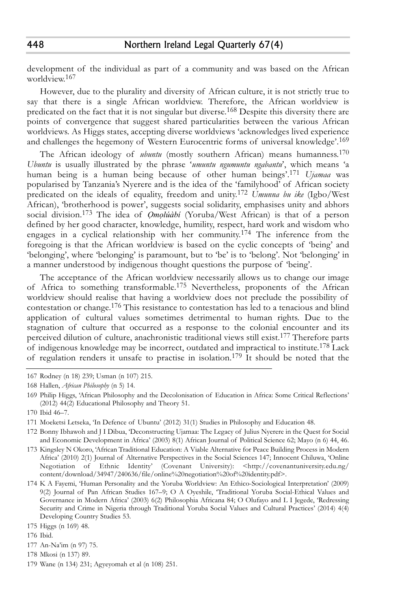development of the individual as part of a community and was based on the African worldview. 167

However, due to the plurality and diversity of African culture, it is not strictly true to say that there is a single African worldview. Therefore, the African worldview is predicated on the fact that it is not singular but diverse. 168 Despite this diversity there are points of convergence that suggest shared particularities between the various African worldviews. As Higgs states, accepting diverse worldviews 'acknowledges lived experience and challenges the hegemony of Western Eurocentric forms of universal knowledge'. 169

The African ideology of *ubuntu* (mostly southern African) means humanness. 170 *Ubuntu* is usually illustrated by the phrase '*umuntu ngumuntu ngabantu*', which means 'a human being is a human being because of other human beings'. 171 *Ujamaa* was popularised by Tanzania's Nyerere and is the idea of the 'familyhood' of African society predicated on the ideals of equality, freedom and unity. 172 *Umunna bu ike* (Igbo/West African), 'brotherhood is power', suggests social solidarity, emphasises unity and abhors social division. 173 The idea of *Ọmọlúàbí* (Yoruba/West African) is that of a person defined by her good character, knowledge, humility, respect, hard work and wisdom who engages in a cyclical relationship with her community. 174 The inference from the foregoing is that the African worldview is based on the cyclic concepts of 'being' and 'belonging', where 'belonging' is paramount, but to 'be' is to 'belong'. Not 'belonging' in a manner understood by indigenous thought questions the purpose of 'being'.

The acceptance of the African worldview necessarily allows us to change our image of Africa to something transformable. 175 Nevertheless, proponents of the African worldview should realise that having a worldview does not preclude the possibility of contestation or change. 176 This resistance to contestation has led to a tenacious and blind application of cultural values sometimes detrimental to human rights. Due to the stagnation of culture that occurred as a response to the colonial encounter and its perceived dilution of culture, anachronistic traditional views still exist. 177 Therefore parts of indigenous knowledge may be incorrect, outdated and impractical to institute.<sup>178</sup> Lack of regulation renders it unsafe to practise in isolation. 179 It should be noted that the

176 Ibid.

448

<sup>167</sup> Rodney (n 18) 239; Usman (n 107) 215.

<sup>168</sup> Hallen, *African Philosophy* (n 5) 14.

<sup>169</sup> Philip Higgs, 'African Philosophy and the Decolonisation of Education in Africa: Some Critical Reflections' (2012) 44(2) Educational Philosophy and Theory 51.

<sup>170</sup> Ibid 46–7.

<sup>171</sup> Moeketsi Letseka, 'In Defence of Ubuntu' (2012) 31(1) Studies in Philosophy and Education 48.

<sup>172</sup> Bonny Ibhawoh and J I Dibua, 'Deconstructing Ujamaa: The Legacy of Julius Nyerere in the Quest for Social and Economic Development in Africa' (2003) 8(1) African Journal of Political Science 62; Mayo (n 6) 44, 46.

<sup>173</sup> Kingsley N Okoro, 'African Traditional Education: A Viable Alternative for Peace Building Process in Modern Africa' (2010) 2(1) Journal of Alternative Perspectives in the Social Sciences 147; Innocent Chiluwa, 'Online Negotiation of Ethnic Identity' (Covenant University): <http://covenantuniversity.edu.ng/ content/download/34947/240636/file/online%20negotiation%20of%20identity.pdf>.

<sup>174</sup> K A Fayemi, 'Human Personality and the Yoruba Worldview: An Ethico-Sociological Interpretation' (2009) 9(2) Journal of Pan African Studies 167–9; O A Oyeshile, 'Traditional Yoruba Social-Ethical Values and Governance in Modern Africa' (2003) 6(2) Philosophia Africana 84; O Olufayo and L I Jegede, 'Redressing Security and Crime in Nigeria through Traditional Yoruba Social Values and Cultural Practices' (2014) 4(4) Developing Country Studies 53.

<sup>175</sup> Higgs (n 169) 48.

<sup>177</sup> An-Na'im (n 97) 75.

<sup>178</sup> Mkosi (n 137) 89.

<sup>179</sup> Wane (n 134) 231; Agyeyomah et al (n 108) 251.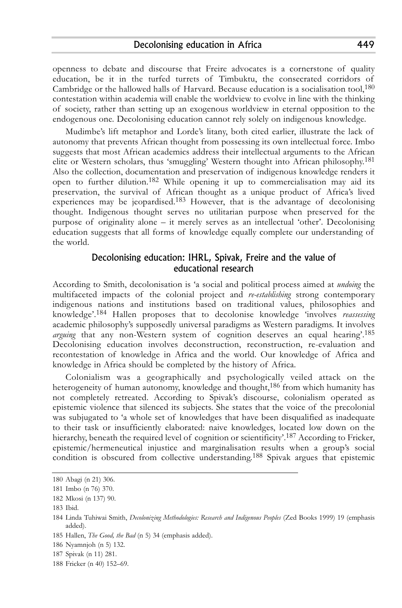openness to debate and discourse that Freire advocates is a cornerstone of quality education, be it in the turfed turrets of Timbuktu, the consecrated corridors of Cambridge or the hallowed halls of Harvard. Because education is a socialisation tool, 180 contestation within academia will enable the worldview to evolve in line with the thinking of society, rather than setting up an exogenous worldview in eternal opposition to the endogenous one. Decolonising education cannot rely solely on indigenous knowledge.

Mudimbe's lift metaphor and Lorde's litany, both cited earlier, illustrate the lack of autonomy that prevents African thought from possessing its own intellectual force. Imbo suggests that most African academics address their intellectual arguments to the African elite or Western scholars, thus 'smuggling' Western thought into African philosophy. 181 Also the collection, documentation and preservation of indigenous knowledge renders it open to further dilution. 182 While opening it up to commercialisation may aid its preservation, the survival of African thought as a unique product of Africa's lived experiences may be jeopardised.<sup>183</sup> However, that is the advantage of decolonising thought. Indigenous thought serves no utilitarian purpose when preserved for the purpose of originality alone – it merely serves as an intellectual 'other'. Decolonising education suggests that all forms of knowledge equally complete our understanding of the world.

# Decolonising education: IHRL, Spivak, Freire and the value of educational research

According to Smith, decolonisation is 'a social and political process aimed at *undoing* the multifaceted impacts of the colonial project and *re-establishing* strong contemporary indigenous nations and institutions based on traditional values, philosophies and knowledge'. 184 Hallen proposes that to decolonise knowledge 'involves *reassessing* academic philosophy's supposedly universal paradigms as Western paradigms. It involves *arguing* that any non-Western system of cognition deserves an equal hearing'. 185 Decolonising education involves deconstruction, reconstruction, re-evaluation and recontestation of knowledge in Africa and the world. Our knowledge of Africa and knowledge in Africa should be completed by the history of Africa.

Colonialism was a geographically and psychologically veiled attack on the heterogeneity of human autonomy, knowledge and thought, 186 from which humanity has not completely retreated. According to Spivak's discourse, colonialism operated as epistemic violence that silenced its subjects. She states that the voice of the precolonial was subjugated to 'a whole set of knowledges that have been disqualified as inadequate to their task or insufficiently elaborated: naive knowledges, located low down on the hierarchy, beneath the required level of cognition or scientificity'.<sup>187</sup> According to Fricker, epistemic/hermeneutical injustice and marginalisation results when a group's social condition is obscured from collective understanding. 188 Spivak argues that epistemic

<sup>180</sup> Abagi (n 21) 306.

<sup>181</sup> Imbo (n 76) 370.

<sup>182</sup> Mkosi (n 137) 90.

<sup>183</sup> Ibid.

<sup>184</sup> Linda Tuhiwai Smith, *Decolonizing Methodologies: Research and Indigenous Peoples* (Zed Books 1999) 19 (emphasis added).

<sup>185</sup> Hallen, *The Good, the Bad* (n 5) 34 (emphasis added).

<sup>186</sup> Nyamnjoh (n 5) 132.

<sup>187</sup> Spivak (n 11) 281.

<sup>188</sup> Fricker (n 40) 152–69.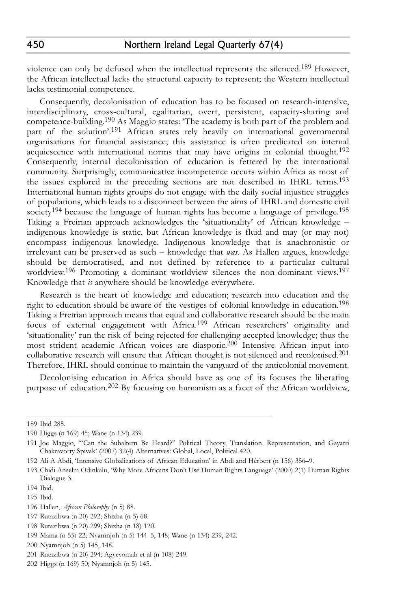violence can only be defused when the intellectual represents the silenced. 189 However, the African intellectual lacks the structural capacity to represent; the Western intellectual lacks testimonial competence.

Consequently, decolonisation of education has to be focused on research-intensive, interdisciplinary, cross-cultural, egalitarian, overt, persistent, capacity-sharing and competence-building. 190 As Maggio states: 'The academy is both part of the problem and part of the solution'.<sup>191</sup> African states rely heavily on international governmental organisations for financial assistance; this assistance is often predicated on internal acquiescence with international norms that may have origins in colonial thought.<sup>192</sup> Consequently, internal decolonisation of education is fettered by the international community. Surprisingly, communicative incompetence occurs within Africa as most of the issues explored in the preceding sections are not described in IHRL terms. 193 International human rights groups do not engage with the daily social injustice struggles of populations, which leads to a disconnect between the aims of IHRL and domestic civil society $^{194}$  because the language of human rights has become a language of privilege. $^{195}$ Taking a Freirian approach acknowledges the 'situationality' of African knowledge – indigenous knowledge is static, but African knowledge is fluid and may (or may not) encompass indigenous knowledge. Indigenous knowledge that is anachronistic or irrelevant can be preserved as such – knowledge that *was*. As Hallen argues, knowledge should be democratised, and not defined by reference to a particular cultural worldview. 196 Promoting a dominant worldview silences the non-dominant views. 197 Knowledge that *is* anywhere should be knowledge everywhere.

Research is the heart of knowledge and education; research into education and the right to education should be aware of the vestiges of colonial knowledge in education. 198 Taking a Freirian approach means that equal and collaborative research should be the main focus of external engagement with Africa. 199 African researchers' originality and 'situationality' run the risk of being rejected for challenging accepted knowledge; thus the most strident academic African voices are diasporic. 200 Intensive African input into collaborative research will ensure that African thought is not silenced and recolonised. 201 Therefore, IHRL should continue to maintain the vanguard of the anticolonial movement.

Decolonising education in Africa should have as one of its focuses the liberating purpose of education. 202 By focusing on humanism as a facet of the African worldview,

<sup>189</sup> Ibid 285.

<sup>190</sup> Higgs (n 169) 45; Wane (n 134) 239.

<sup>191</sup> Joe Maggio, '"Can the Subaltern Be Heard?" Political Theory, Translation, Representation, and Gayatri Chakravorty Spivak' (2007) 32(4) Alternatives: Global, Local, Political 420.

<sup>192</sup> Ali A Abdi, 'Intensive Globalizations of African Education' in Abdi and Hérbert (n 156) 356–9.

<sup>193</sup> Chidi Anselm Odinkalu, 'Why More Africans Don't Use Human Rights Language' (2000) 2(1) Human Rights Dialogue 3.

<sup>194</sup> Ibid.

<sup>195</sup> Ibid.

<sup>196</sup> Hallen, *African Philosophy* (n 5) 88.

<sup>197</sup> Rutazibwa (n 20) 292; Shizha (n 5) 68.

<sup>198</sup> Rutazibwa (n 20) 299; Shizha (n 18) 120.

<sup>199</sup> Mama (n 55) 22; Nyamnjoh (n 5) 144–5, 148; Wane (n 134) 239, 242.

<sup>200</sup> Nyamnjoh (n 5) 145, 148.

<sup>201</sup> Rutazibwa (n 20) 294; Agyeyomah et al (n 108) 249.

<sup>202</sup> Higgs (n 169) 50; Nyamnjoh (n 5) 145.